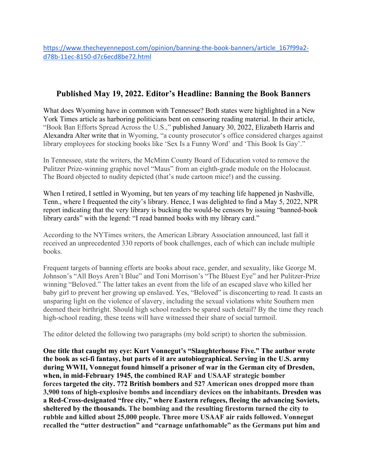https://www.thecheyennepost.com/opinion/banning-the-book-banners/article\_167f99a2d78b-11ec-8150-d7c6ecd8be72.html

## **Published May 19, 2022. Editor's Headline: Banning the Book Banners**

What does Wyoming have in common with Tennessee? Both states were highlighted in a New York Times article as harboring politicians bent on censoring reading material. In their article, "Book Ban Efforts Spread Across the U.S.," published January 30, 2022, Elizabeth Harris and Alexandra Alter write that in Wyoming, "a county prosecutor's office considered charges against library employees for stocking books like 'Sex Is a Funny Word' and 'This Book Is Gay'."

In Tennessee, state the writers, the McMinn County Board of Education voted to remove the Pulitzer Prize-winning graphic novel "Maus" from an eighth-grade module on the Holocaust. The Board objected to nudity depicted (that's nude cartoon mice!) and the cussing.

When I retired, I settled in Wyoming, but ten years of my teaching life happened jn Nashville, Tenn., where I frequented the city's library. Hence, I was delighted to find a May 5, 2022, NPR report indicating that the very library is bucking the would-be censors by issuing "banned-book library cards" with the legend: "I read banned books with my library card."

According to the NYTimes writers, the American Library Association announced, last fall it received an unprecedented 330 reports of book challenges, each of which can include multiple books.

Frequent targets of banning efforts are books about race, gender, and sexuality, like George M. Johnson's "All Boys Aren't Blue" and Toni Morrison's "The Bluest Eye" and her Pulitzer-Prize winning "Beloved." The latter takes an event from the life of an escaped slave who killed her baby girl to prevent her growing up enslaved. Yes, "Beloved" is disconcerting to read. It casts an unsparing light on the violence of slavery, including the sexual violations white Southern men deemed their birthright. Should high school readers be spared such detail? By the time they reach high-school reading, these teens will have witnessed their share of social turmoil.

The editor deleted the following two paragraphs (my bold script) to shorten the submission.

**One title that caught my eye: Kurt Vonnegut's "Slaughterhouse Five." The author wrote the book as sci-fi fantasy, but parts of it are autobiographical. Serving in the U.S. army during WWII, Vonnegut found himself a prisoner of war in the German city of Dresden, when, in mid-February 1945, the combined RAF and USAAF strategic bomber forces targeted the city. 772 British bombers and 527 American ones dropped more than 3,900 tons of high-explosive bombs and incendiary devices on the inhabitants. Dresden was a Red-Cross-designated "free city," where Eastern refugees, fleeing the advancing Soviets, sheltered by the thousands. The bombing and the resulting firestorm turned the city to rubble and killed about 25,000 people. Three more USAAF air raids followed. Vonnegut recalled the "utter destruction" and "carnage unfathomable" as the Germans put him and**